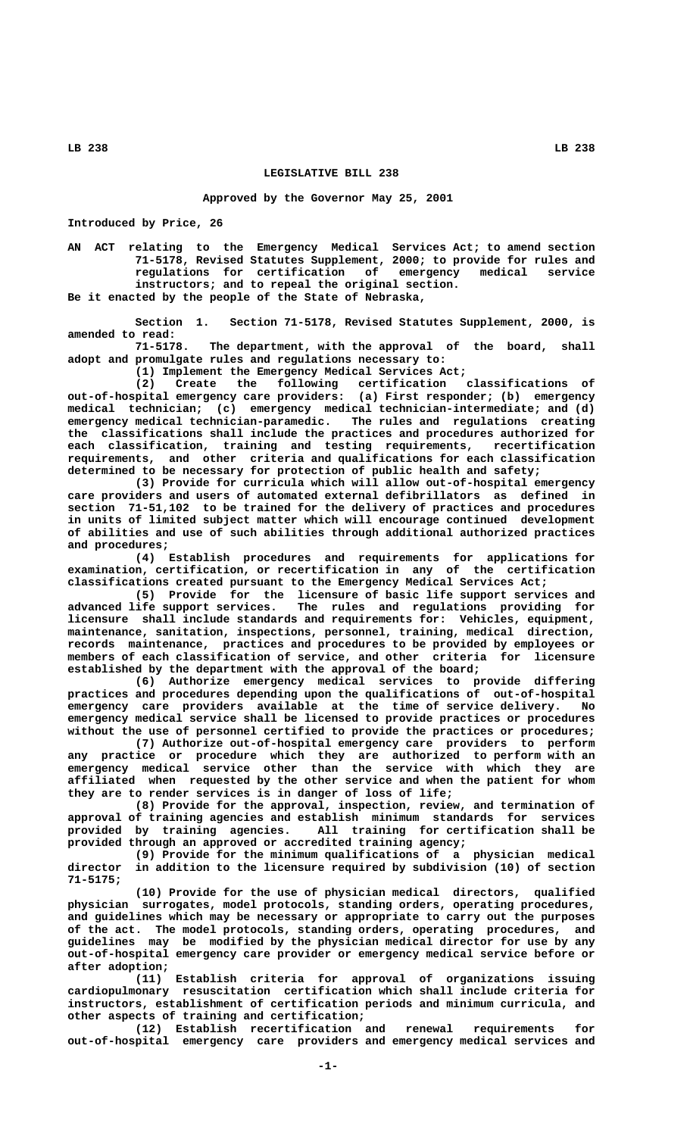## **LEGISLATIVE BILL 238**

**Approved by the Governor May 25, 2001**

**Introduced by Price, 26**

**AN ACT relating to the Emergency Medical Services Act; to amend section 71-5178, Revised Statutes Supplement, 2000; to provide for rules and regulations for certification of emergency medical service instructors; and to repeal the original section.**

**Be it enacted by the people of the State of Nebraska,**

**Section 1. Section 71-5178, Revised Statutes Supplement, 2000, is amended to read:**

**71-5178. The department, with the approval of the board, shall adopt and promulgate rules and regulations necessary to:**

**(1) Implement the Emergency Medical Services Act;**

**(2) Create the following certification classifications of out-of-hospital emergency care providers: (a) First responder; (b) emergency medical technician; (c) emergency medical technician-intermediate; and (d) emergency medical technician-paramedic. The rules and regulations creating the classifications shall include the practices and procedures authorized for each classification, training and testing requirements, recertification requirements, and other criteria and qualifications for each classification determined to be necessary for protection of public health and safety;**

**(3) Provide for curricula which will allow out-of-hospital emergency care providers and users of automated external defibrillators as defined in section 71-51,102 to be trained for the delivery of practices and procedures in units of limited subject matter which will encourage continued development of abilities and use of such abilities through additional authorized practices and procedures;**

**(4) Establish procedures and requirements for applications for examination, certification, or recertification in any of the certification classifications created pursuant to the Emergency Medical Services Act;**

**(5) Provide for the licensure of basic life support services and advanced life support services. The rules and regulations providing for licensure shall include standards and requirements for: Vehicles, equipment, maintenance, sanitation, inspections, personnel, training, medical direction, records maintenance, practices and procedures to be provided by employees or members of each classification of service, and other criteria for licensure established by the department with the approval of the board;**

**(6) Authorize emergency medical services to provide differing practices and procedures depending upon the qualifications of out-of-hospital emergency care providers available at the time of service delivery. No emergency medical service shall be licensed to provide practices or procedures without the use of personnel certified to provide the practices or procedures;**

**(7) Authorize out-of-hospital emergency care providers to perform any practice or procedure which they are authorized to perform with an emergency medical service other than the service with which they are affiliated when requested by the other service and when the patient for whom they are to render services is in danger of loss of life;**

**(8) Provide for the approval, inspection, review, and termination of approval of training agencies and establish minimum standards for services provided by training agencies. All training for certification shall be provided through an approved or accredited training agency;**

**(9) Provide for the minimum qualifications of a physician medical director in addition to the licensure required by subdivision (10) of section 71-5175;**

**(10) Provide for the use of physician medical directors, qualified physician surrogates, model protocols, standing orders, operating procedures, and guidelines which may be necessary or appropriate to carry out the purposes of the act. The model protocols, standing orders, operating procedures, and guidelines may be modified by the physician medical director for use by any out-of-hospital emergency care provider or emergency medical service before or after adoption;**

**(11) Establish criteria for approval of organizations issuing cardiopulmonary resuscitation certification which shall include criteria for instructors, establishment of certification periods and minimum curricula, and other aspects of training and certification;**

**(12) Establish recertification and renewal requirements for out-of-hospital emergency care providers and emergency medical services and**